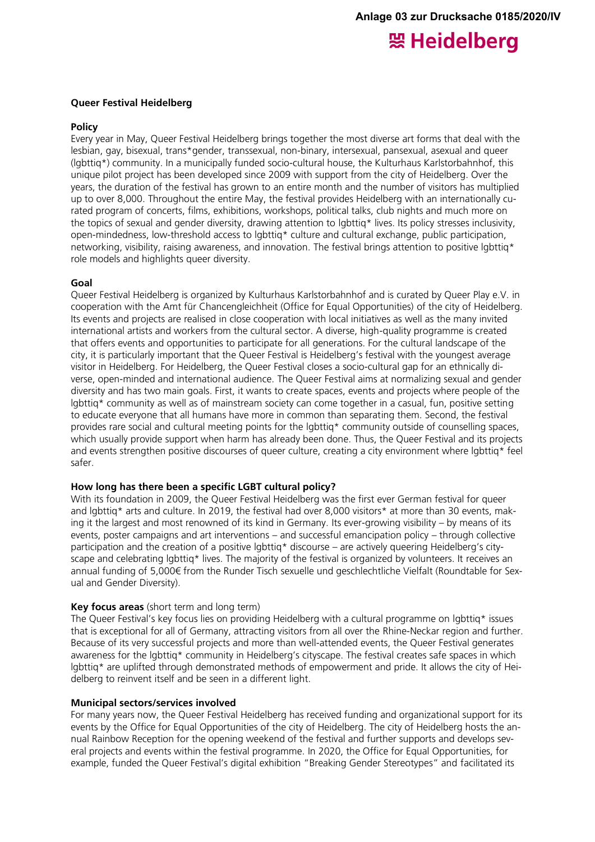# 照 Heidelberg

#### **Queer Festival Heidelberg**

#### **Policy**

Every year in May, Queer Festival Heidelberg brings together the most diverse art forms that deal with the lesbian, gay, bisexual, trans\*gender, transsexual, non-binary, intersexual, pansexual, asexual and queer (lgbttiq\*) community. In a municipally funded socio-cultural house, the Kulturhaus Karlstorbahnhof, this unique pilot project has been developed since 2009 with support from the city of Heidelberg. Over the years, the duration of the festival has grown to an entire month and the number of visitors has multiplied up to over 8,000. Throughout the entire May, the festival provides Heidelberg with an internationally curated program of concerts, films, exhibitions, workshops, political talks, club nights and much more on the topics of sexual and gender diversity, drawing attention to lgbttiq\* lives. Its policy stresses inclusivity, open-mindedness, low-threshold access to lgbttiq\* culture and cultural exchange, public participation, networking, visibility, raising awareness, and innovation. The festival brings attention to positive lgbttig\* role models and highlights queer diversity.

#### **Goal**

Queer Festival Heidelberg is organized by Kulturhaus Karlstorbahnhof and is curated by Queer Play e.V. in cooperation with the Amt für Chancengleichheit (Office for Equal Opportunities) of the city of Heidelberg. Its events and projects are realised in close cooperation with local initiatives as well as the many invited international artists and workers from the cultural sector. A diverse, high-quality programme is created that offers events and opportunities to participate for all generations. For the cultural landscape of the city, it is particularly important that the Queer Festival is Heidelberg's festival with the youngest average visitor in Heidelberg. For Heidelberg, the Queer Festival closes a socio-cultural gap for an ethnically diverse, open-minded and international audience. The Queer Festival aims at normalizing sexual and gender diversity and has two main goals. First, it wants to create spaces, events and projects where people of the lgbttiq\* community as well as of mainstream society can come together in a casual, fun, positive setting to educate everyone that all humans have more in common than separating them. Second, the festival provides rare social and cultural meeting points for the lgbttiq\* community outside of counselling spaces, which usually provide support when harm has already been done. Thus, the Queer Festival and its projects and events strengthen positive discourses of queer culture, creating a city environment where lgbttiq\* feel safer.

#### **How long has there been a specific LGBT cultural policy?**

With its foundation in 2009, the Queer Festival Heidelberg was the first ever German festival for queer and lgbttig\* arts and culture. In 2019, the festival had over 8,000 visitors\* at more than 30 events, making it the largest and most renowned of its kind in Germany. Its ever-growing visibility – by means of its events, poster campaigns and art interventions – and successful emancipation policy – through collective participation and the creation of a positive lgbttiq\* discourse – are actively queering Heidelberg's cityscape and celebrating lgbttiq\* lives. The majority of the festival is organized by volunteers. It receives an annual funding of 5,000€ from the Runder Tisch sexuelle und geschlechtliche Vielfalt (Roundtable for Sexual and Gender Diversity).

# **Key focus areas** (short term and long term)

The Queer Festival's key focus lies on providing Heidelberg with a cultural programme on lgbttiq\* issues that is exceptional for all of Germany, attracting visitors from all over the Rhine-Neckar region and further. Because of its very successful projects and more than well-attended events, the Queer Festival generates awareness for the lgbttiq\* community in Heidelberg's cityscape. The festival creates safe spaces in which lgbttiq\* are uplifted through demonstrated methods of empowerment and pride. It allows the city of Heidelberg to reinvent itself and be seen in a different light.

#### **Municipal sectors/services involved**

For many years now, the Queer Festival Heidelberg has received funding and organizational support for its events by the Office for Equal Opportunities of the city of Heidelberg. The city of Heidelberg hosts the annual Rainbow Reception for the opening weekend of the festival and further supports and develops several projects and events within the festival programme. In 2020, the Office for Equal Opportunities, for example, funded the Queer Festival's digital exhibition "Breaking Gender Stereotypes" and facilitated its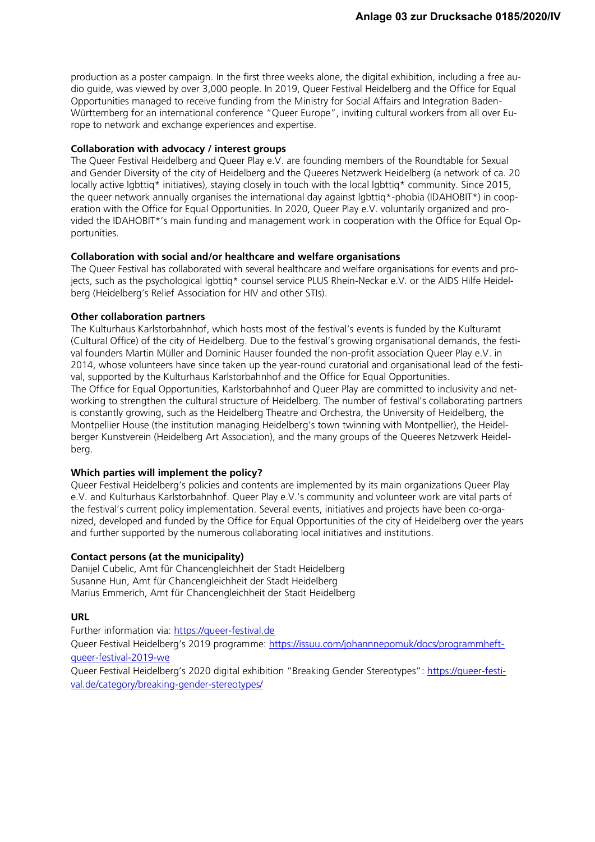production as a poster campaign. In the first three weeks alone, the digital exhibition, including a free audio guide, was viewed by over 3,000 people. In 2019, Queer Festival Heidelberg and the Office for Equal Opportunities managed to receive funding from the Ministry for Social Affairs and Integration Baden-Württemberg for an international conference "Queer Europe", inviting cultural workers from all over Europe to network and exchange experiences and expertise.

#### **Collaboration with advocacy / interest groups**

The Queer Festival Heidelberg and Queer Play e.V. are founding members of the Roundtable for Sexual and Gender Diversity of the city of Heidelberg and the Queeres Netzwerk Heidelberg (a network of ca. 20 locally active labttiq\* initiatives), staying closely in touch with the local labttig\* community. Since 2015, the queer network annually organises the international day against lgbttiq\*-phobia (IDAHOBIT\*) in cooperation with the Office for Equal Opportunities. In 2020, Queer Play e.V. voluntarily organized and provided the IDAHOBIT\*'s main funding and management work in cooperation with the Office for Equal Opportunities.

#### **Collaboration with social and/or healthcare and welfare organisations**

The Queer Festival has collaborated with several healthcare and welfare organisations for events and projects, such as the psychological lgbttiq\* counsel service PLUS Rhein-Neckar e.V. or the AIDS Hilfe Heidelberg (Heidelberg's Relief Association for HIV and other STIs).

#### **Other collaboration partners**

The Kulturhaus Karlstorbahnhof, which hosts most of the festival's events is funded by the Kulturamt (Cultural Office) of the city of Heidelberg. Due to the festival's growing organisational demands, the festival founders Martin Müller and Dominic Hauser founded the non-profit association Queer Play e.V. in 2014, whose volunteers have since taken up the year-round curatorial and organisational lead of the festival, supported by the Kulturhaus Karlstorbahnhof and the Office for Equal Opportunities. The Office for Equal Opportunities, Karlstorbahnhof and Queer Play are committed to inclusivity and networking to strengthen the cultural structure of Heidelberg. The number of festival's collaborating partners is constantly growing, such as the Heidelberg Theatre and Orchestra, the University of Heidelberg, the Montpellier House (the institution managing Heidelberg's town twinning with Montpellier), the Heidelberger Kunstverein (Heidelberg Art Association), and the many groups of the Queeres Netzwerk Heidelberg.

# **Which parties will implement the policy?**

Queer Festival Heidelberg's policies and contents are implemented by its main organizations Queer Play e.V. and Kulturhaus Karlstorbahnhof. Queer Play e.V.'s community and volunteer work are vital parts of the festival's current policy implementation. Several events, initiatives and projects have been co-organized, developed and funded by the Office for Equal Opportunities of the city of Heidelberg over the years and further supported by the numerous collaborating local initiatives and institutions.

# **Contact persons (at the municipality)**

Danijel Cubelic, Amt für Chancengleichheit der Stadt Heidelberg Susanne Hun, Amt für Chancengleichheit der Stadt Heidelberg Marius Emmerich, Amt für Chancengleichheit der Stadt Heidelberg

# **URL**

Further information via: [https://queer-festival.de](https://queer-festival.de/) Queer Festival Heidelberg's 2019 programme: [https://issuu.com/johannnepomuk/docs/programmheft](https://issuu.com/johannnepomuk/docs/programmheft-queer-festival-2019-we)[queer-festival-2019-we](https://issuu.com/johannnepomuk/docs/programmheft-queer-festival-2019-we)

Queer Festival Heidelberg's 2020 digital exhibition "Breaking Gender Stereotypes": [https://queer-festi](https://queer-festival.de/category/breaking-gender-stereotypes/)[val.de/category/breaking-gender-stereotypes/](https://queer-festival.de/category/breaking-gender-stereotypes/)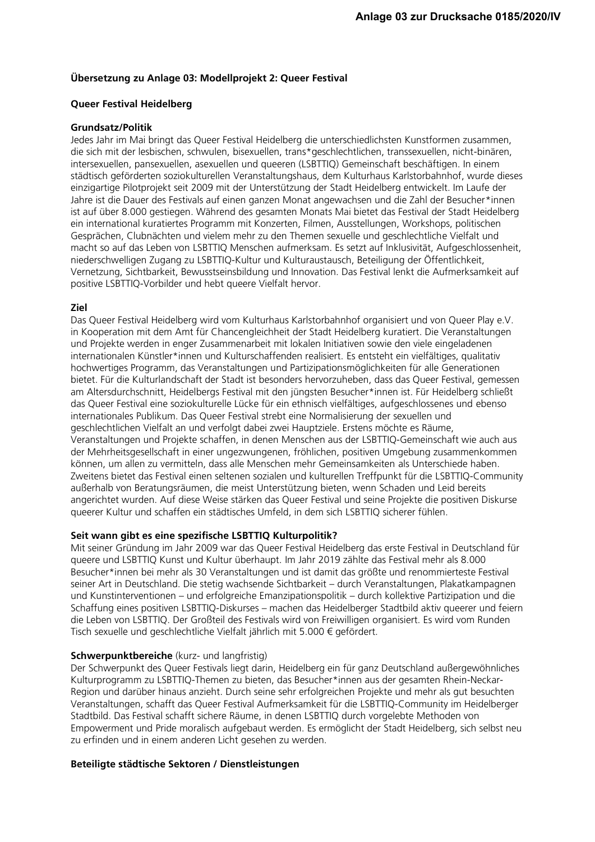# **Übersetzung zu Anlage 03: Modellprojekt 2: Queer Festival**

#### **Queer Festival Heidelberg**

#### **Grundsatz/Politik**

Jedes Jahr im Mai bringt das Queer Festival Heidelberg die unterschiedlichsten Kunstformen zusammen, die sich mit der lesbischen, schwulen, bisexuellen, trans\*geschlechtlichen, transsexuellen, nicht-binären, intersexuellen, pansexuellen, asexuellen und queeren (LSBTTIQ) Gemeinschaft beschäftigen. In einem städtisch geförderten soziokulturellen Veranstaltungshaus, dem Kulturhaus Karlstorbahnhof, wurde dieses einzigartige Pilotprojekt seit 2009 mit der Unterstützung der Stadt Heidelberg entwickelt. Im Laufe der Jahre ist die Dauer des Festivals auf einen ganzen Monat angewachsen und die Zahl der Besucher\*innen ist auf über 8.000 gestiegen. Während des gesamten Monats Mai bietet das Festival der Stadt Heidelberg ein international kuratiertes Programm mit Konzerten, Filmen, Ausstellungen, Workshops, politischen Gesprächen, Clubnächten und vielem mehr zu den Themen sexuelle und geschlechtliche Vielfalt und macht so auf das Leben von LSBTTIQ Menschen aufmerksam. Es setzt auf Inklusivität, Aufgeschlossenheit, niederschwelligen Zugang zu LSBTTIQ-Kultur und Kulturaustausch, Beteiligung der Öffentlichkeit, Vernetzung, Sichtbarkeit, Bewusstseinsbildung und Innovation. Das Festival lenkt die Aufmerksamkeit auf positive LSBTTIQ-Vorbilder und hebt queere Vielfalt hervor.

# **Ziel**

Das Queer Festival Heidelberg wird vom Kulturhaus Karlstorbahnhof organisiert und von Queer Play e.V. in Kooperation mit dem Amt für Chancengleichheit der Stadt Heidelberg kuratiert. Die Veranstaltungen und Projekte werden in enger Zusammenarbeit mit lokalen Initiativen sowie den viele eingeladenen internationalen Künstler\*innen und Kulturschaffenden realisiert. Es entsteht ein vielfältiges, qualitativ hochwertiges Programm, das Veranstaltungen und Partizipationsmöglichkeiten für alle Generationen bietet. Für die Kulturlandschaft der Stadt ist besonders hervorzuheben, dass das Queer Festival, gemessen am Altersdurchschnitt, Heidelbergs Festival mit den jüngsten Besucher\*innen ist. Für Heidelberg schließt das Queer Festival eine soziokulturelle Lücke für ein ethnisch vielfältiges, aufgeschlossenes und ebenso internationales Publikum. Das Queer Festival strebt eine Normalisierung der sexuellen und geschlechtlichen Vielfalt an und verfolgt dabei zwei Hauptziele. Erstens möchte es Räume, Veranstaltungen und Projekte schaffen, in denen Menschen aus der LSBTTIQ-Gemeinschaft wie auch aus der Mehrheitsgesellschaft in einer ungezwungenen, fröhlichen, positiven Umgebung zusammenkommen können, um allen zu vermitteln, dass alle Menschen mehr Gemeinsamkeiten als Unterschiede haben. Zweitens bietet das Festival einen seltenen sozialen und kulturellen Treffpunkt für die LSBTTIQ-Community außerhalb von Beratungsräumen, die meist Unterstützung bieten, wenn Schaden und Leid bereits angerichtet wurden. Auf diese Weise stärken das Queer Festival und seine Projekte die positiven Diskurse queerer Kultur und schaffen ein städtisches Umfeld, in dem sich LSBTTIQ sicherer fühlen.

# **Seit wann gibt es eine spezifische LSBTTIQ Kulturpolitik?**

Mit seiner Gründung im Jahr 2009 war das Queer Festival Heidelberg das erste Festival in Deutschland für queere und LSBTTIQ Kunst und Kultur überhaupt. Im Jahr 2019 zählte das Festival mehr als 8.000 Besucher\*innen bei mehr als 30 Veranstaltungen und ist damit das größte und renommierteste Festival seiner Art in Deutschland. Die stetig wachsende Sichtbarkeit – durch Veranstaltungen, Plakatkampagnen und Kunstinterventionen – und erfolgreiche Emanzipationspolitik – durch kollektive Partizipation und die Schaffung eines positiven LSBTTIQ-Diskurses – machen das Heidelberger Stadtbild aktiv queerer und feiern die Leben von LSBTTIQ. Der Großteil des Festivals wird von Freiwilligen organisiert. Es wird vom Runden Tisch sexuelle und geschlechtliche Vielfalt jährlich mit 5.000 € gefördert.

#### **Schwerpunktbereiche** (kurz- und langfristig)

Der Schwerpunkt des Queer Festivals liegt darin, Heidelberg ein für ganz Deutschland außergewöhnliches Kulturprogramm zu LSBTTIQ-Themen zu bieten, das Besucher\*innen aus der gesamten Rhein-Neckar-Region und darüber hinaus anzieht. Durch seine sehr erfolgreichen Projekte und mehr als gut besuchten Veranstaltungen, schafft das Queer Festival Aufmerksamkeit für die LSBTTIQ-Community im Heidelberger Stadtbild. Das Festival schafft sichere Räume, in denen LSBTTIQ durch vorgelebte Methoden von Empowerment und Pride moralisch aufgebaut werden. Es ermöglicht der Stadt Heidelberg, sich selbst neu zu erfinden und in einem anderen Licht gesehen zu werden.

#### **Beteiligte städtische Sektoren / Dienstleistungen**